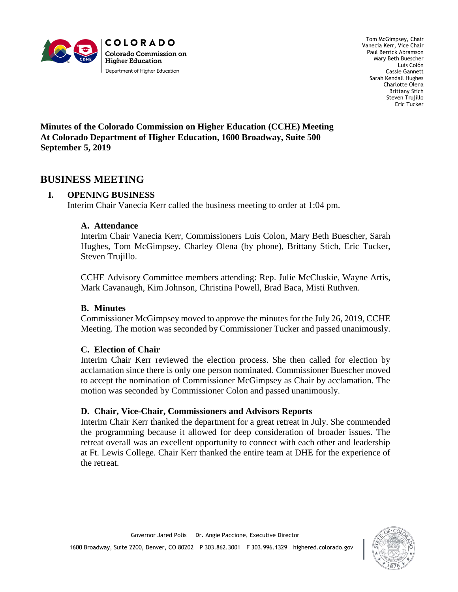

Tom McGimpsey, Chair Vanecia Kerr, Vice Chair Paul Berrick Abramson Mary Beth Buescher Luis Colón Cassie Gannett Sarah Kendall Hughes Charlotte Olena Brittany Stich Steven Trujillo Eric Tucker

**Minutes of the Colorado Commission on Higher Education (CCHE) Meeting At Colorado Department of Higher Education, 1600 Broadway, Suite 500 September 5, 2019**

## **BUSINESS MEETING**

### **I. OPENING BUSINESS**

Interim Chair Vanecia Kerr called the business meeting to order at 1:04 pm.

#### **A. Attendance**

Interim Chair Vanecia Kerr, Commissioners Luis Colon, Mary Beth Buescher, Sarah Hughes, Tom McGimpsey, Charley Olena (by phone), Brittany Stich, Eric Tucker, Steven Trujillo.

CCHE Advisory Committee members attending: Rep. Julie McCluskie, Wayne Artis, Mark Cavanaugh, Kim Johnson, Christina Powell, Brad Baca, Misti Ruthven.

### **B. Minutes**

Commissioner McGimpsey moved to approve the minutes for the July 26, 2019, CCHE Meeting. The motion was seconded by Commissioner Tucker and passed unanimously.

#### **C. Election of Chair**

Interim Chair Kerr reviewed the election process. She then called for election by acclamation since there is only one person nominated. Commissioner Buescher moved to accept the nomination of Commissioner McGimpsey as Chair by acclamation. The motion was seconded by Commissioner Colon and passed unanimously.

### **D. Chair, Vice-Chair, Commissioners and Advisors Reports**

Interim Chair Kerr thanked the department for a great retreat in July. She commended the programming because it allowed for deep consideration of broader issues. The retreat overall was an excellent opportunity to connect with each other and leadership at Ft. Lewis College. Chair Kerr thanked the entire team at DHE for the experience of the retreat.

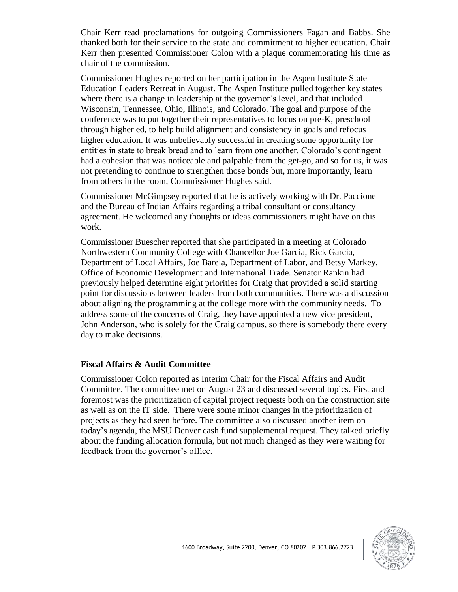Chair Kerr read proclamations for outgoing Commissioners Fagan and Babbs. She thanked both for their service to the state and commitment to higher education. Chair Kerr then presented Commissioner Colon with a plaque commemorating his time as chair of the commission.

Commissioner Hughes reported on her participation in the Aspen Institute State Education Leaders Retreat in August. The Aspen Institute pulled together key states where there is a change in leadership at the governor's level, and that included Wisconsin, Tennessee, Ohio, Illinois, and Colorado. The goal and purpose of the conference was to put together their representatives to focus on pre-K, preschool through higher ed, to help build alignment and consistency in goals and refocus higher education. It was unbelievably successful in creating some opportunity for entities in state to break bread and to learn from one another. Colorado's contingent had a cohesion that was noticeable and palpable from the get-go, and so for us, it was not pretending to continue to strengthen those bonds but, more importantly, learn from others in the room, Commissioner Hughes said.

Commissioner McGimpsey reported that he is actively working with Dr. Paccione and the Bureau of Indian Affairs regarding a tribal consultant or consultancy agreement. He welcomed any thoughts or ideas commissioners might have on this work.

Commissioner Buescher reported that she participated in a meeting at Colorado Northwestern Community College with Chancellor Joe Garcia, Rick Garcia, Department of Local Affairs, Joe Barela, Department of Labor, and Betsy Markey, Office of Economic Development and International Trade. Senator Rankin had previously helped determine eight priorities for Craig that provided a solid starting point for discussions between leaders from both communities. There was a discussion about aligning the programming at the college more with the community needs. To address some of the concerns of Craig, they have appointed a new vice president, John Anderson, who is solely for the Craig campus, so there is somebody there every day to make decisions.

#### **Fiscal Affairs & Audit Committee** –

Commissioner Colon reported as Interim Chair for the Fiscal Affairs and Audit Committee. The committee met on August 23 and discussed several topics. First and foremost was the prioritization of capital project requests both on the construction site as well as on the IT side. There were some minor changes in the prioritization of projects as they had seen before. The committee also discussed another item on today's agenda, the MSU Denver cash fund supplemental request. They talked briefly about the funding allocation formula, but not much changed as they were waiting for feedback from the governor's office.

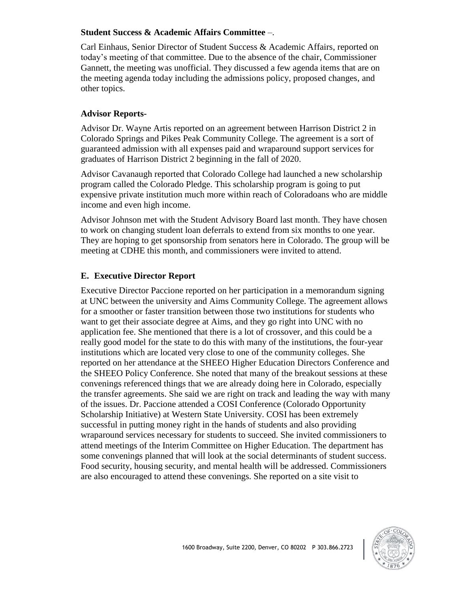### **Student Success & Academic Affairs Committee** –.

Carl Einhaus, Senior Director of Student Success & Academic Affairs, reported on today's meeting of that committee. Due to the absence of the chair, Commissioner Gannett, the meeting was unofficial. They discussed a few agenda items that are on the meeting agenda today including the admissions policy, proposed changes, and other topics.

## **Advisor Reports-**

Advisor Dr. Wayne Artis reported on an agreement between Harrison District 2 in Colorado Springs and Pikes Peak Community College. The agreement is a sort of guaranteed admission with all expenses paid and wraparound support services for graduates of Harrison District 2 beginning in the fall of 2020.

Advisor Cavanaugh reported that Colorado College had launched a new scholarship program called the Colorado Pledge. This scholarship program is going to put expensive private institution much more within reach of Coloradoans who are middle income and even high income.

Advisor Johnson met with the Student Advisory Board last month. They have chosen to work on changing student loan deferrals to extend from six months to one year. They are hoping to get sponsorship from senators here in Colorado. The group will be meeting at CDHE this month, and commissioners were invited to attend.

## **E. Executive Director Report**

Executive Director Paccione reported on her participation in a memorandum signing at UNC between the university and Aims Community College. The agreement allows for a smoother or faster transition between those two institutions for students who want to get their associate degree at Aims, and they go right into UNC with no application fee. She mentioned that there is a lot of crossover, and this could be a really good model for the state to do this with many of the institutions, the four-year institutions which are located very close to one of the community colleges. She reported on her attendance at the SHEEO Higher Education Directors Conference and the SHEEO Policy Conference. She noted that many of the breakout sessions at these convenings referenced things that we are already doing here in Colorado, especially the transfer agreements. She said we are right on track and leading the way with many of the issues. Dr. Paccione attended a COSI Conference (Colorado Opportunity Scholarship Initiative) at Western State University. COSI has been extremely successful in putting money right in the hands of students and also providing wraparound services necessary for students to succeed. She invited commissioners to attend meetings of the Interim Committee on Higher Education. The department has some convenings planned that will look at the social determinants of student success. Food security, housing security, and mental health will be addressed. Commissioners are also encouraged to attend these convenings. She reported on a site visit to

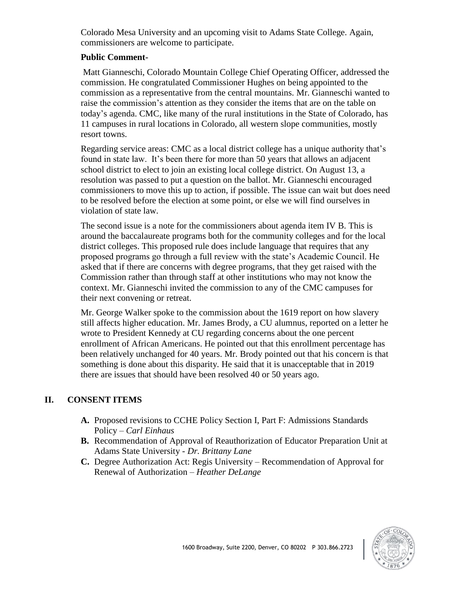Colorado Mesa University and an upcoming visit to Adams State College. Again, commissioners are welcome to participate.

### **Public Comment-**

Matt Gianneschi, Colorado Mountain College Chief Operating Officer, addressed the commission. He congratulated Commissioner Hughes on being appointed to the commission as a representative from the central mountains. Mr. Gianneschi wanted to raise the commission's attention as they consider the items that are on the table on today's agenda. CMC, like many of the rural institutions in the State of Colorado, has 11 campuses in rural locations in Colorado, all western slope communities, mostly resort towns.

Regarding service areas: CMC as a local district college has a unique authority that's found in state law. It's been there for more than 50 years that allows an adjacent school district to elect to join an existing local college district. On August 13, a resolution was passed to put a question on the ballot. Mr. Gianneschi encouraged commissioners to move this up to action, if possible. The issue can wait but does need to be resolved before the election at some point, or else we will find ourselves in violation of state law.

The second issue is a note for the commissioners about agenda item IV B. This is around the baccalaureate programs both for the community colleges and for the local district colleges. This proposed rule does include language that requires that any proposed programs go through a full review with the state's Academic Council. He asked that if there are concerns with degree programs, that they get raised with the Commission rather than through staff at other institutions who may not know the context. Mr. Gianneschi invited the commission to any of the CMC campuses for their next convening or retreat.

Mr. George Walker spoke to the commission about the 1619 report on how slavery still affects higher education. Mr. James Brody, a CU alumnus, reported on a letter he wrote to President Kennedy at CU regarding concerns about the one percent enrollment of African Americans. He pointed out that this enrollment percentage has been relatively unchanged for 40 years. Mr. Brody pointed out that his concern is that something is done about this disparity. He said that it is unacceptable that in 2019 there are issues that should have been resolved 40 or 50 years ago.

# **II. CONSENT ITEMS**

- **A.** Proposed revisions to CCHE Policy Section I, Part F: Admissions Standards Policy – *Carl Einhaus*
- **B.** Recommendation of Approval of Reauthorization of Educator Preparation Unit at Adams State University - *Dr. Brittany Lane*
- **C.** Degree Authorization Act: Regis University Recommendation of Approval for Renewal of Authorization – *Heather DeLange*

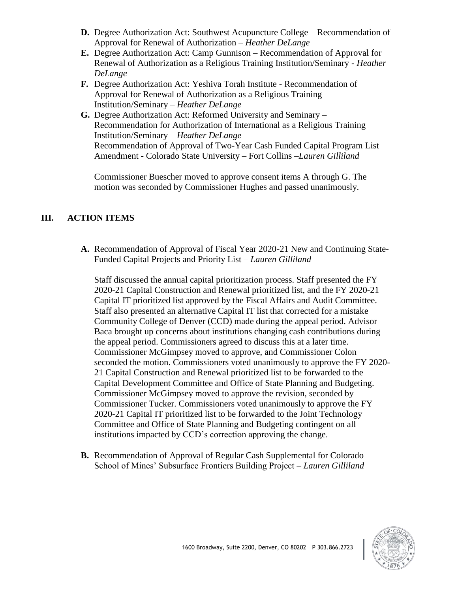- **D.** Degree Authorization Act: Southwest Acupuncture College Recommendation of Approval for Renewal of Authorization – *Heather DeLange*
- **E.** Degree Authorization Act: Camp Gunnison Recommendation of Approval for Renewal of Authorization as a Religious Training Institution/Seminary - *Heather DeLange*
- **F.** Degree Authorization Act: Yeshiva Torah Institute Recommendation of Approval for Renewal of Authorization as a Religious Training Institution/Seminary – *Heather DeLange*
- **G.** Degree Authorization Act: Reformed University and Seminary Recommendation for Authorization of International as a Religious Training Institution/Seminary – *Heather DeLange* Recommendation of Approval of Two-Year Cash Funded Capital Program List Amendment - Colorado State University – Fort Collins –*Lauren Gilliland*

Commissioner Buescher moved to approve consent items A through G. The motion was seconded by Commissioner Hughes and passed unanimously.

# **III. ACTION ITEMS**

**A.** Recommendation of Approval of Fiscal Year 2020-21 New and Continuing State-Funded Capital Projects and Priority List – *Lauren Gilliland*

Staff discussed the annual capital prioritization process. Staff presented the FY 2020-21 Capital Construction and Renewal prioritized list, and the FY 2020-21 Capital IT prioritized list approved by the Fiscal Affairs and Audit Committee. Staff also presented an alternative Capital IT list that corrected for a mistake Community College of Denver (CCD) made during the appeal period. Advisor Baca brought up concerns about institutions changing cash contributions during the appeal period. Commissioners agreed to discuss this at a later time. Commissioner McGimpsey moved to approve, and Commissioner Colon seconded the motion. Commissioners voted unanimously to approve the FY 2020- 21 Capital Construction and Renewal prioritized list to be forwarded to the Capital Development Committee and Office of State Planning and Budgeting. Commissioner McGimpsey moved to approve the revision, seconded by Commissioner Tucker. Commissioners voted unanimously to approve the FY 2020-21 Capital IT prioritized list to be forwarded to the Joint Technology Committee and Office of State Planning and Budgeting contingent on all institutions impacted by CCD's correction approving the change.

**B.** Recommendation of Approval of Regular Cash Supplemental for Colorado School of Mines' Subsurface Frontiers Building Project – *Lauren Gilliland*

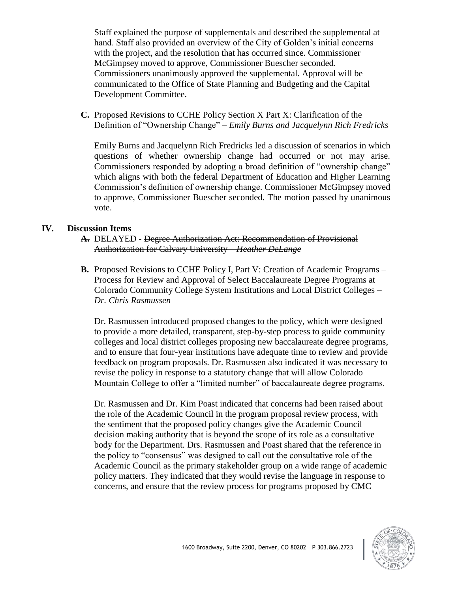Staff explained the purpose of supplementals and described the supplemental at hand. Staff also provided an overview of the City of Golden's initial concerns with the project, and the resolution that has occurred since. Commissioner McGimpsey moved to approve, Commissioner Buescher seconded. Commissioners unanimously approved the supplemental. Approval will be communicated to the Office of State Planning and Budgeting and the Capital Development Committee.

**C.** Proposed Revisions to CCHE Policy Section X Part X: Clarification of the Definition of "Ownership Change" – *Emily Burns and Jacquelynn Rich Fredricks*

Emily Burns and Jacquelynn Rich Fredricks led a discussion of scenarios in which questions of whether ownership change had occurred or not may arise. Commissioners responded by adopting a broad definition of "ownership change" which aligns with both the federal Department of Education and Higher Learning Commission's definition of ownership change. Commissioner McGimpsey moved to approve, Commissioner Buescher seconded. The motion passed by unanimous vote.

#### **IV. Discussion Items**

- **A.** DELAYED Degree Authorization Act: Recommendation of Provisional Authorization for Calvary University – *Heather DeLange*
- **B.** Proposed Revisions to CCHE Policy I, Part V: Creation of Academic Programs Process for Review and Approval of Select Baccalaureate Degree Programs at Colorado Community College System Institutions and Local District Colleges – *Dr. Chris Rasmussen*

Dr. Rasmussen introduced proposed changes to the policy, which were designed to provide a more detailed, transparent, step-by-step process to guide community colleges and local district colleges proposing new baccalaureate degree programs, and to ensure that four-year institutions have adequate time to review and provide feedback on program proposals. Dr. Rasmussen also indicated it was necessary to revise the policy in response to a statutory change that will allow Colorado Mountain College to offer a "limited number" of baccalaureate degree programs.

Dr. Rasmussen and Dr. Kim Poast indicated that concerns had been raised about the role of the Academic Council in the program proposal review process, with the sentiment that the proposed policy changes give the Academic Council decision making authority that is beyond the scope of its role as a consultative body for the Department. Drs. Rasmussen and Poast shared that the reference in the policy to "consensus" was designed to call out the consultative role of the Academic Council as the primary stakeholder group on a wide range of academic policy matters. They indicated that they would revise the language in response to concerns, and ensure that the review process for programs proposed by CMC

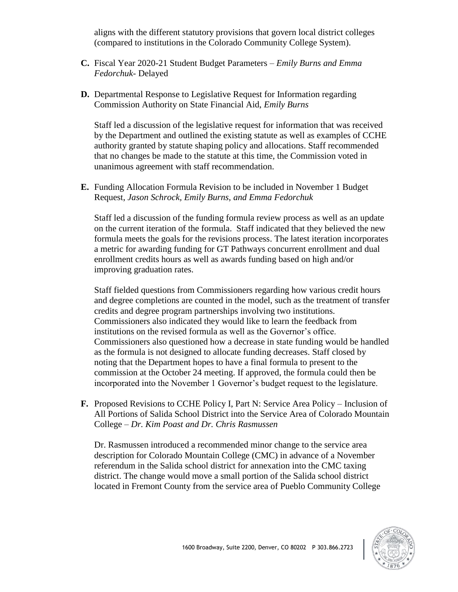aligns with the different statutory provisions that govern local district colleges (compared to institutions in the Colorado Community College System).

- **C.** Fiscal Year 2020-21 Student Budget Parameters *Emily Burns and Emma Fedorchuk-* Delayed
- **D.** Departmental Response to Legislative Request for Information regarding Commission Authority on State Financial Aid, *Emily Burns*

Staff led a discussion of the legislative request for information that was received by the Department and outlined the existing statute as well as examples of CCHE authority granted by statute shaping policy and allocations. Staff recommended that no changes be made to the statute at this time, the Commission voted in unanimous agreement with staff recommendation.

**E.** Funding Allocation Formula Revision to be included in November 1 Budget Request, *Jason Schrock, Emily Burns, and Emma Fedorchuk*

Staff led a discussion of the funding formula review process as well as an update on the current iteration of the formula. Staff indicated that they believed the new formula meets the goals for the revisions process. The latest iteration incorporates a metric for awarding funding for GT Pathways concurrent enrollment and dual enrollment credits hours as well as awards funding based on high and/or improving graduation rates.

Staff fielded questions from Commissioners regarding how various credit hours and degree completions are counted in the model, such as the treatment of transfer credits and degree program partnerships involving two institutions. Commissioners also indicated they would like to learn the feedback from institutions on the revised formula as well as the Governor's office. Commissioners also questioned how a decrease in state funding would be handled as the formula is not designed to allocate funding decreases. Staff closed by noting that the Department hopes to have a final formula to present to the commission at the October 24 meeting. If approved, the formula could then be incorporated into the November 1 Governor's budget request to the legislature.

**F.** Proposed Revisions to CCHE Policy I, Part N: Service Area Policy – Inclusion of All Portions of Salida School District into the Service Area of Colorado Mountain College – *Dr. Kim Poast and Dr. Chris Rasmussen*

Dr. Rasmussen introduced a recommended minor change to the service area description for Colorado Mountain College (CMC) in advance of a November referendum in the Salida school district for annexation into the CMC taxing district. The change would move a small portion of the Salida school district located in Fremont County from the service area of Pueblo Community College